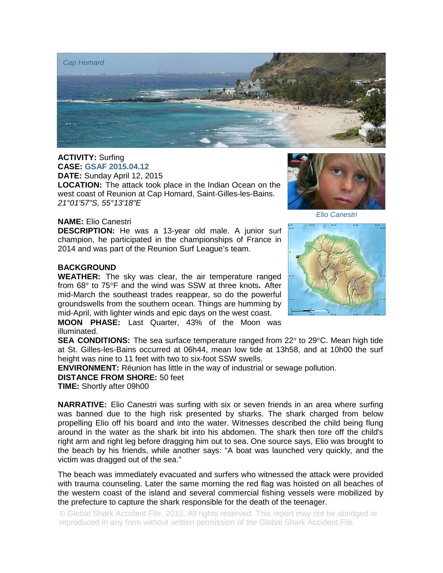

**ACTIVITY:** Surfing **CASE: GSAF 2015.04.12 DATE:** Sunday April 12, 2015

**LOCATION:** The attack took place in the Indian Ocean on the west coast of Reunion at Cap Homard, Saint-Gilles-les-Bains. *21°01'57"S, 55°13'18"E* 

## **NAME:** Elio Canestri

**DESCRIPTION:** He was a 13-year old male. A junior surf champion, he participated in the championships of France in 2014 and was part of the Reunion Surf League's team.

## **BACKGROUND**

**WEATHER:** The sky was clear, the air temperature ranged from 68° to 75°F and the wind was SSW at three knots**.** After mid-March the southeast trades reappear, so do the powerful groundswells from the southern ocean. Things are humming by mid-April, with lighter winds and epic days on the west coast.

**MOON PHASE:** Last Quarter, 43% of the Moon was illuminated.

**SEA CONDITIONS:** The sea surface temperature ranged from 22° to 29°C. Mean high tide at St. Gilles-les-Bains occurred at 06h44, mean low tide at 13h58, and at 10h00 the surf height was nine to 11 feet with two to six-foot SSW swells.

**ENVIRONMENT:** Réunion has little in the way of industrial or sewage pollution.

**DISTANCE FROM SHORE:** 50 feet

**TIME:** Shortly after 09h00

**NARRATIVE:** Elio Canestri was surfing with six or seven friends in an area where surfing was banned due to the high risk presented by sharks. The shark charged from below propelling Elio off his board and into the water. Witnesses described the child being flung around in the water as the shark bit into his abdomen. The shark then tore off the child's right arm and right leg before dragging him out to sea. One source says, Elio was brought to the beach by his friends, while another says: "A boat was launched very quickly, and the victim was dragged out of the sea."

The beach was immediately evacuated and surfers who witnessed the attack were provided with trauma counseling. Later the same morning the red flag was hoisted on all beaches of the western coast of the island and several commercial fishing vessels were mobilized by the prefecture to capture the shark responsible for the death of the teenager.

© Global Shark Accident File, 2015. All rights reserved. This report may not be abridged or reproduced in any form without written permission of the Global Shark Accident File.



*Elio Canestri*